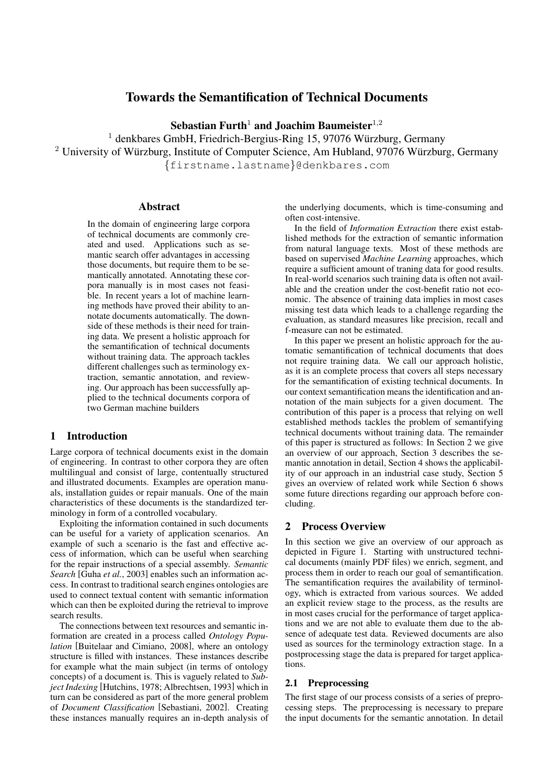# Towards the Semantification of Technical Documents

Sebastian Furth<sup>1</sup> and Joachim Baumeister<sup>1,2</sup>

 $1$  denkbares GmbH, Friedrich-Bergius-Ring 15, 97076 Würzburg, Germany  $2$  University of Würzburg, Institute of Computer Science, Am Hubland, 97076 Würzburg, Germany {firstname.lastname}@denkbares.com

#### Abstract

In the domain of engineering large corpora of technical documents are commonly created and used. Applications such as semantic search offer advantages in accessing those documents, but require them to be semantically annotated. Annotating these corpora manually is in most cases not feasible. In recent years a lot of machine learning methods have proved their ability to annotate documents automatically. The downside of these methods is their need for training data. We present a holistic approach for the semantification of technical documents without training data. The approach tackles different challenges such as terminology extraction, semantic annotation, and reviewing. Our approach has been successfully applied to the technical documents corpora of two German machine builders

# 1 Introduction

Large corpora of technical documents exist in the domain of engineering. In contrast to other corpora they are often multilingual and consist of large, contentually structured and illustrated documents. Examples are operation manuals, installation guides or repair manuals. One of the main characteristics of these documents is the standardized terminology in form of a controlled vocabulary.

Exploiting the information contained in such documents can be useful for a variety of application scenarios. An example of such a scenario is the fast and effective access of information, which can be useful when searching for the repair instructions of a special assembly. *Semantic Search* [Guha *et al.*, 2003] enables such an information access. In contrast to traditional search engines ontologies are used to connect textual content with semantic information which can then be exploited during the retrieval to improve search results.

The connections between text resources and semantic information are created in a process called *Ontology Population* [Buitelaar and Cimiano, 2008], where an ontology structure is filled with instances. These instances describe for example what the main subject (in terms of ontology concepts) of a document is. This is vaguely related to *Subject Indexing* [Hutchins, 1978; Albrechtsen, 1993] which in turn can be considered as part of the more general problem of *Document Classification* [Sebastiani, 2002]. Creating these instances manually requires an in-depth analysis of the underlying documents, which is time-consuming and often cost-intensive.

In the field of *Information Extraction* there exist established methods for the extraction of semantic information from natural language texts. Most of these methods are based on supervised *Machine Learning* approaches, which require a sufficient amount of traning data for good results. In real-world scenarios such training data is often not available and the creation under the cost-benefit ratio not economic. The absence of training data implies in most cases missing test data which leads to a challenge regarding the evaluation, as standard measures like precision, recall and f-measure can not be estimated.

In this paper we present an holistic approach for the automatic semantification of technical documents that does not require training data. We call our approach holistic, as it is an complete process that covers all steps necessary for the semantification of existing technical documents. In our context semantification means the identification and annotation of the main subjects for a given document. The contribution of this paper is a process that relying on well established methods tackles the problem of semantifying technical documents without training data. The remainder of this paper is structured as follows: In Section 2 we give an overview of our approach, Section 3 describes the semantic annotation in detail, Section 4 shows the applicability of our approach in an industrial case study, Section 5 gives an overview of related work while Section 6 shows some future directions regarding our approach before concluding.

# 2 Process Overview

In this section we give an overview of our approach as depicted in Figure 1. Starting with unstructured technical documents (mainly PDF files) we enrich, segment, and process them in order to reach our goal of semantification. The semantification requires the availability of terminology, which is extracted from various sources. We added an explicit review stage to the process, as the results are in most cases crucial for the performance of target applications and we are not able to evaluate them due to the absence of adequate test data. Reviewed documents are also used as sources for the terminology extraction stage. In a postprocessing stage the data is prepared for target applications.

#### 2.1 Preprocessing

The first stage of our process consists of a series of preprocessing steps. The preprocessing is necessary to prepare the input documents for the semantic annotation. In detail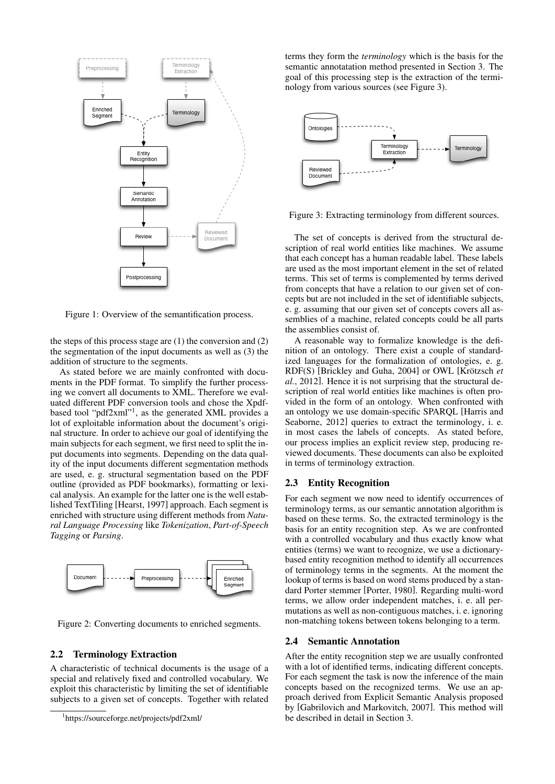

Figure 1: Overview of the semantification process.

the steps of this process stage are  $(1)$  the conversion and  $(2)$ the segmentation of the input documents as well as (3) the addition of structure to the segments.

As stated before we are mainly confronted with documents in the PDF format. To simplify the further processing we convert all documents to XML. Therefore we evaluated different PDF conversion tools and chose the Xpdfbased tool "pdf2xml"<sup>1</sup>, as the generated XML provides a lot of exploitable information about the document's original structure. In order to achieve our goal of identifying the main subjects for each segment, we first need to split the input documents into segments. Depending on the data quality of the input documents different segmentation methods are used, e. g. structural segmentation based on the PDF outline (provided as PDF bookmarks), formatting or lexical analysis. An example for the latter one is the well established TextTiling [Hearst, 1997] approach. Each segment is enriched with structure using different methods from *Natural Language Processing* like *Tokenization*, *Part-of-Speech Tagging* or *Parsing*.



Figure 2: Converting documents to enriched segments.

# 2.2 Terminology Extraction

A characteristic of technical documents is the usage of a special and relatively fixed and controlled vocabulary. We exploit this characteristic by limiting the set of identifiable subjects to a given set of concepts. Together with related terms they form the *terminology* which is the basis for the semantic annotatation method presented in Section 3. The goal of this processing step is the extraction of the terminology from various sources (see Figure 3).



Figure 3: Extracting terminology from different sources.

The set of concepts is derived from the structural description of real world entities like machines. We assume that each concept has a human readable label. These labels are used as the most important element in the set of related terms. This set of terms is complemented by terms derived from concepts that have a relation to our given set of concepts but are not included in the set of identifiable subjects, e. g. assuming that our given set of concepts covers all assemblies of a machine, related concepts could be all parts the assemblies consist of.

A reasonable way to formalize knowledge is the definition of an ontology. There exist a couple of standardized languages for the formalization of ontologies, e. g. RDF(S) [Brickley and Guha, 2004] or OWL [Krötzsch et *al.*, 2012]. Hence it is not surprising that the structural description of real world entities like machines is often provided in the form of an ontology. When confronted with an ontology we use domain-specific SPARQL [Harris and Seaborne, 2012] queries to extract the terminology, i. e. in most cases the labels of concepts. As stated before, our process implies an explicit review step, producing reviewed documents. These documents can also be exploited in terms of terminology extraction.

#### 2.3 Entity Recognition

For each segment we now need to identify occurrences of terminology terms, as our semantic annotation algorithm is based on these terms. So, the extracted terminology is the basis for an entity recognition step. As we are confronted with a controlled vocabulary and thus exactly know what entities (terms) we want to recognize, we use a dictionarybased entity recognition method to identify all occurrences of terminology terms in the segments. At the moment the lookup of terms is based on word stems produced by a standard Porter stemmer [Porter, 1980]. Regarding multi-word terms, we allow order independent matches, i. e. all permutations as well as non-contiguous matches, i. e. ignoring non-matching tokens between tokens belonging to a term.

#### 2.4 Semantic Annotation

After the entity recognition step we are usually confronted with a lot of identified terms, indicating different concepts. For each segment the task is now the inference of the main concepts based on the recognized terms. We use an approach derived from Explicit Semantic Analysis proposed by [Gabrilovich and Markovitch, 2007]. This method will be described in detail in Section 3.

<sup>1</sup> https://sourceforge.net/projects/pdf2xml/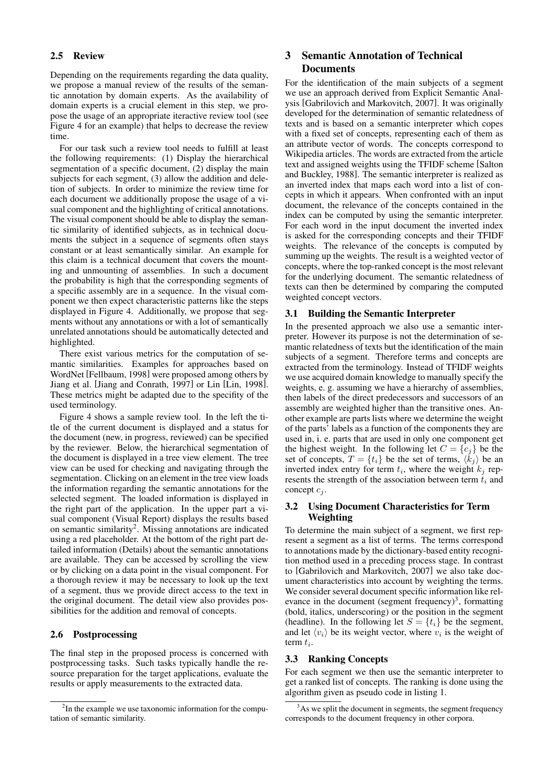## 2.5 Review

Depending on the requirements regarding the data quality, we propose a manual review of the results of the semantic annotation by domain experts. As the availability of domain experts is a crucial element in this step, we propose the usage of an appropriate iteractive review tool (see Figure 4 for an example) that helps to decrease the review time.

For our task such a review tool needs to fulfill at least the following requirements: (1) Display the hierarchical segmentation of a specific document, (2) display the main subjects for each segment, (3) allow the addition and deletion of subjects. In order to minimize the review time for each document we additionally propose the usage of a visual component and the highlighting of critical annotations. The visual component should be able to display the semantic similarity of identified subjects, as in technical documents the subject in a sequence of segments often stays constant or at least semantically similar. An example for this claim is a technical document that covers the mounting and unmounting of assemblies. In such a document the probability is high that the corresponding segments of a specific assembly are in a sequence. In the visual component we then expect characteristic patterns like the steps displayed in Figure 4. Additionally, we propose that segments without any annotations or with a lot of semantically unrelated annotations should be automatically detected and highlighted.

There exist various metrics for the computation of semantic similarities. Examples for approaches based on WordNet [Fellbaum, 1998] were proposed among others by Jiang et al. [Jiang and Conrath, 1997] or Lin [Lin, 1998]. These metrics might be adapted due to the specifity of the used terminology.

Figure 4 shows a sample review tool. In the left the title of the current document is displayed and a status for the document (new, in progress, reviewed) can be specified by the reviewer. Below, the hierarchical segmentation of the document is displayed in a tree view element. The tree view can be used for checking and navigating through the segmentation. Clicking on an element in the tree view loads the information regarding the semantic annotations for the selected segment. The loaded information is displayed in the right part of the application. In the upper part a visual component (Visual Report) displays the results based on semantic similarity<sup>2</sup>. Missing annotations are indicated using a red placeholder. At the bottom of the right part detailed information (Details) about the semantic annotations are available. They can be accessed by scrolling the view or by clicking on a data point in the visual component. For a thorough review it may be necessary to look up the text of a segment, thus we provide direct access to the text in the original document. The detail view also provides possibilities for the addition and removal of concepts.

### 2.6 Postprocessing

The final step in the proposed process is concerned with postprocessing tasks. Such tasks typically handle the resource preparation for the target applications, evaluate the results or apply measurements to the extracted data.

# 3 Semantic Annotation of Technical **Documents**

For the identification of the main subjects of a segment we use an approach derived from Explicit Semantic Analysis [Gabrilovich and Markovitch, 2007]. It was originally developed for the determination of semantic relatedness of texts and is based on a semantic interpreter which copes with a fixed set of concepts, representing each of them as an attribute vector of words. The concepts correspond to Wikipedia articles. The words are extracted from the article text and assigned weights using the TFIDF scheme [Salton and Buckley, 1988]. The semantic interpreter is realized as an inverted index that maps each word into a list of concepts in which it appears. When confronted with an input document, the relevance of the concepts contained in the index can be computed by using the semantic interpreter. For each word in the input document the inverted index is asked for the corresponding concepts and their TFIDF weights. The relevance of the concepts is computed by summing up the weights. The result is a weighted vector of concepts, where the top-ranked concept is the most relevant for the underlying document. The semantic relatedness of texts can then be determined by comparing the computed weighted concept vectors.

#### 3.1 Building the Semantic Interpreter

In the presented approach we also use a semantic interpreter. However its purpose is not the determination of semantic relatedness of texts but the identification of the main subjects of a segment. Therefore terms and concepts are extracted from the terminology. Instead of TFIDF weights we use acquired domain knowledge to manually specify the weights, e. g. assuming we have a hierarchy of assemblies, then labels of the direct predecessors and successors of an assembly are weighted higher than the transitive ones. Another example are parts lists where we determine the weight of the parts' labels as a function of the components they are used in, i. e. parts that are used in only one component get the highest weight. In the following let  $C = \{c_i\}$  be the set of concepts,  $T = \{t_i\}$  be the set of terms,  $\langle k_i \rangle$  be an inverted index entry for term  $t_i$ , where the weight  $k_j$  represents the strength of the association between term  $t_i$  and concept  $c_i$ .

## 3.2 Using Document Characteristics for Term Weighting

To determine the main subject of a segment, we first represent a segment as a list of terms. The terms correspond to annotations made by the dictionary-based entity recognition method used in a preceding process stage. In contrast to [Gabrilovich and Markovitch, 2007] we also take document characteristics into account by weighting the terms. We consider several document specific information like relevance in the document (segment frequency)<sup>3</sup>, formatting (bold, italics, underscoring) or the position in the segment (headline). In the following let  $S = \{t_i\}$  be the segment, and let  $\langle v_i \rangle$  be its weight vector, where  $v_i$  is the weight of term  $t_i$ .

# 3.3 Ranking Concepts

For each segment we then use the semantic interpreter to get a ranked list of concepts. The ranking is done using the algorithm given as pseudo code in listing 1.

<sup>&</sup>lt;sup>2</sup>In the example we use taxonomic information for the computation of semantic similarity.

 $3<sup>3</sup>$ As we split the document in segments, the segment frequency corresponds to the document frequency in other corpora.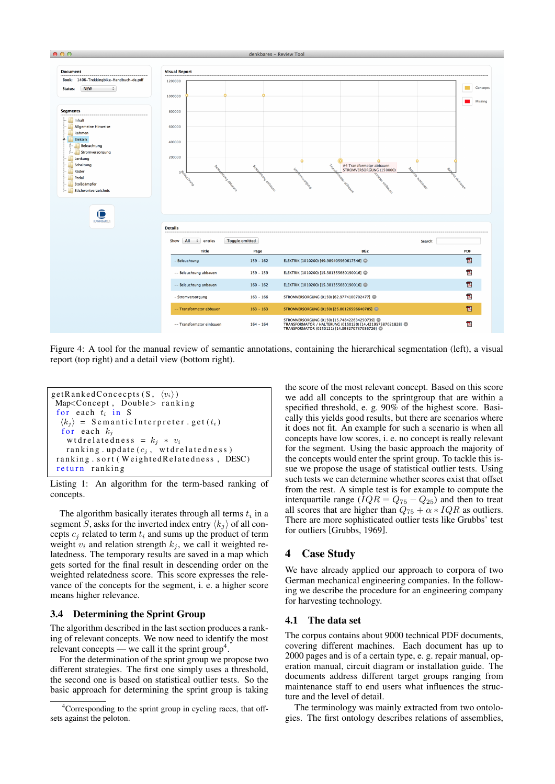

Figure 4: A tool for the manual review of semantic annotations, containing the hierarchical segmentation (left), a visual report (top right) and a detail view (bottom right).

```
getRankedConcecpts (S, \langle v_i \rangle)Map<Concept, Double> ranking
 for each t_i in S
  \langle k_i \rangle = S e m antic Interpreter. get (t_i)for each k_iw t d r e l a t e d n e s s = k_j * v_ir anking . update (c_j, wtdrelatedness)
 ranking.sort (WeightedRelatedness, DESC)
 return ranking
```

```
Listing 1: An algorithm for the term-based ranking of
concepts.
```
The algorithm basically iterates through all terms  $t_i$  in a segment S, asks for the inverted index entry  $\langle k_i \rangle$  of all concepts  $c_i$  related to term  $t_i$  and sums up the product of term weight  $v_i$  and relation strength  $k_j$ , we call it weighted relatedness. The temporary results are saved in a map which gets sorted for the final result in descending order on the weighted relatedness score. This score expresses the relevance of the concepts for the segment, i. e. a higher score means higher relevance.

#### 3.4 Determining the Sprint Group

The algorithm described in the last section produces a ranking of relevant concepts. We now need to identify the most relevant concepts — we call it the sprint group<sup>4</sup>.

For the determination of the sprint group we propose two different strategies. The first one simply uses a threshold, the second one is based on statistical outlier tests. So the basic approach for determining the sprint group is taking

the score of the most relevant concept. Based on this score we add all concepts to the sprintgroup that are within a specified threshold, e. g. 90% of the highest score. Basically this yields good results, but there are scenarios where it does not fit. An example for such a scenario is when all concepts have low scores, i. e. no concept is really relevant for the segment. Using the basic approach the majority of the concepts would enter the sprint group. To tackle this issue we propose the usage of statistical outlier tests. Using such tests we can determine whether scores exist that offset from the rest. A simple test is for example to compute the interquartile range ( $IQR = Q_{75} - Q_{25}$ ) and then to treat all scores that are higher than  $Q_{75} + \alpha * IQR$  as outliers. There are more sophisticated outlier tests like Grubbs' test for outliers [Grubbs, 1969].

# 4 Case Study

We have already applied our approach to corpora of two German mechanical engineering companies. In the following we describe the procedure for an engineering company for harvesting technology.

#### 4.1 The data set

The corpus contains about 9000 technical PDF documents, covering different machines. Each document has up to 2000 pages and is of a certain type, e. g. repair manual, operation manual, circuit diagram or installation guide. The documents address different target groups ranging from maintenance staff to end users what influences the structure and the level of detail.

The terminology was mainly extracted from two ontologies. The first ontology describes relations of assemblies,

<sup>&</sup>lt;sup>4</sup>Corresponding to the sprint group in cycling races, that offsets against the peloton.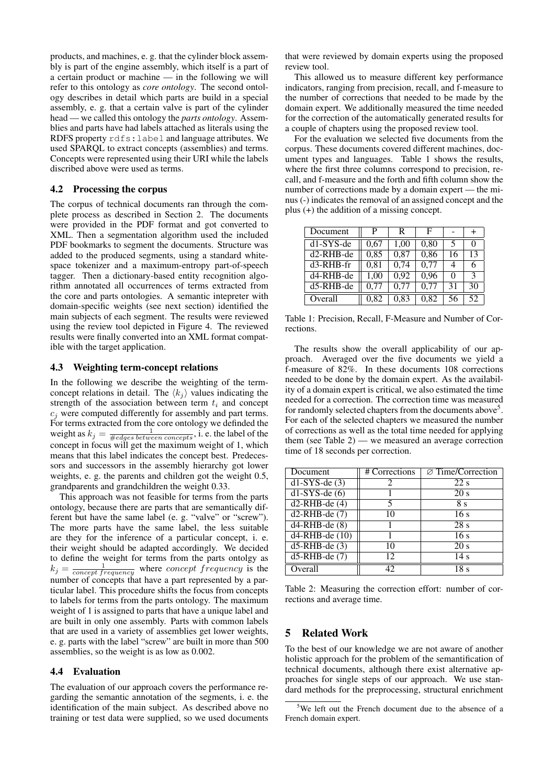products, and machines, e. g. that the cylinder block assembly is part of the engine assembly, which itself is a part of a certain product or machine — in the following we will refer to this ontology as *core ontology*. The second ontology describes in detail which parts are build in a special assembly, e. g. that a certain valve is part of the cylinder head — we called this ontology the *parts ontology*. Assemblies and parts have had labels attached as literals using the RDFS property rdfs:label and language attributes. We used SPARQL to extract concepts (assemblies) and terms. Concepts were represented using their URI while the labels discribed above were used as terms.

#### 4.2 Processing the corpus

The corpus of technical documents ran through the complete process as described in Section 2. The documents were provided in the PDF format and got converted to XML. Then a segmentation algorithm used the included PDF bookmarks to segment the documents. Structure was added to the produced segments, using a standard whitespace tokenizer and a maximum-entropy part-of-speech tagger. Then a dictionary-based entity recognition algorithm annotated all occurrences of terms extracted from the core and parts ontologies. A semantic intepreter with domain-specific weights (see next section) identified the main subjects of each segment. The results were reviewed using the review tool depicted in Figure 4. The reviewed results were finally converted into an XML format compatible with the target application.

#### 4.3 Weighting term-concept relations

In the following we describe the weighting of the termconcept relations in detail. The  $\langle k_j \rangle$  values indicating the strength of the association between term  $t_i$  and concept  $c_i$  were computed differently for assembly and part terms. For terms extracted from the core ontology we definded the weight as  $k_j = \frac{1}{\# edges\ between\ concepts}$ , i. e. the label of the concept in focus will get the maximum weight of 1, which means that this label indicates the concept best. Predecessors and successors in the assembly hierarchy got lower weights, e. g. the parents and children got the weight 0.5, grandparents and grandchildren the weight 0.33.

This approach was not feasible for terms from the parts ontology, because there are parts that are semantically different but have the same label (e. g. "valve" or "screw"). The more parts have the same label, the less suitable are they for the inference of a particular concept, i. e. their weight should be adapted accordingly. We decided to define the weight for terms from the parts ontolgy as  $k_j = \frac{1}{concept frequency}$  where concept frequency is the number of concepts that have a part represented by a particular label. This procedure shifts the focus from concepts to labels for terms from the parts ontology. The maximum weight of 1 is assigned to parts that have a unique label and are built in only one assembly. Parts with common labels that are used in a variety of assemblies get lower weights, e. g. parts with the label "screw" are built in more than 500 assemblies, so the weight is as low as 0.002.

## 4.4 Evaluation

The evaluation of our approach covers the performance regarding the semantic annotation of the segments, i. e. the identification of the main subject. As described above no training or test data were supplied, so we used documents that were reviewed by domain experts using the proposed review tool.

This allowed us to measure different key performance indicators, ranging from precision, recall, and f-measure to the number of corrections that needed to be made by the domain expert. We additionally measured the time needed for the correction of the automatically generated results for a couple of chapters using the proposed review tool.

For the evaluation we selected five documents from the corpus. These documents covered different machines, document types and languages. Table 1 shows the results, where the first three columns correspond to precision, recall, and f-measure and the forth and fifth column show the number of corrections made by a domain expert — the minus (-) indicates the removal of an assigned concept and the plus (+) the addition of a missing concept.

| Document    | P    | R    | F    |    | $\div$        |
|-------------|------|------|------|----|---------------|
| $d1-SYS-de$ | 0,67 | 1,00 | 0,80 | 5  | 0             |
| d2-RHB-de   | 0,85 | 0,87 | 0,86 | 16 | 13            |
| $d3-RHB-fr$ | 0,81 | 0,74 | 0,77 | 4  | 6             |
| d4-RHB-de   | 1,00 | 0.92 | 0,96 | 0  | $\mathcal{R}$ |
| d5-RHB-de   | 0.77 | 0,77 | 0.77 | 31 | 30            |
| Overall     | 0.82 | 0.83 | 0.82 | 56 | 52            |

Table 1: Precision, Recall, F-Measure and Number of Corrections.

The results show the overall applicability of our approach. Averaged over the five documents we yield a f-measure of 82%. In these documents 108 corrections needed to be done by the domain expert. As the availability of a domain expert is critical, we also estimated the time needed for a correction. The correction time was measured for randomly selected chapters from the documents above<sup>5</sup>. For each of the selected chapters we measured the number of corrections as well as the total time needed for applying them (see Table 2) — we measured an average correction time of 18 seconds per correction.

| Document                   | # Corrections | $\varnothing$ Time/Correction |
|----------------------------|---------------|-------------------------------|
| $\overline{d1-SYS-de(3)}$  |               | 22 s                          |
| $d1-SYS-de(6)$             |               | 20 s                          |
| $d2-RHB-de(4)$             | 5             | 8 s                           |
| $d2-RHB-de(7)$             | 10            | 16 <sub>s</sub>               |
| $d4-RHB-de(8)$             |               | 28s                           |
| $\overline{d4-RHB-de(10)}$ |               | 16s                           |
| $d5$ -RHB-de $(3)$         | 10            | 20 s                          |
| $d5$ -RHB-de $(7)$         | 12            | 14 s                          |
| Overall                    | 42            | 18 s                          |

Table 2: Measuring the correction effort: number of corrections and average time.

#### 5 Related Work

To the best of our knowledge we are not aware of another holistic approach for the problem of the semantification of technical documents, although there exist alternative approaches for single steps of our approach. We use standard methods for the preprocessing, structural enrichment

<sup>&</sup>lt;sup>5</sup>We left out the French document due to the absence of a French domain expert.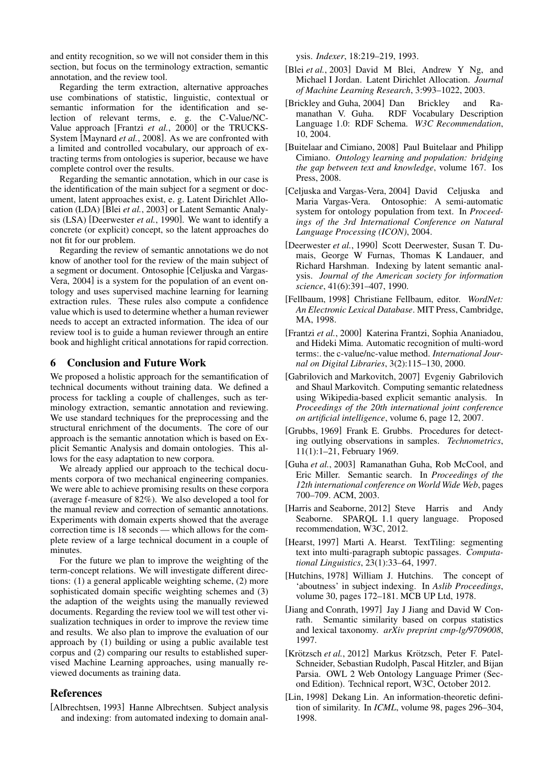and entity recognition, so we will not consider them in this section, but focus on the terminology extraction, semantic annotation, and the review tool.

Regarding the term extraction, alternative approaches use combinations of statistic, linguistic, contextual or semantic information for the identification and selection of relevant terms, e. g. the C-Value/NC-Value approach [Frantzi *et al.*, 2000] or the TRUCKS-System [Maynard *et al.*, 2008]. As we are confronted with a limited and controlled vocabulary, our approach of extracting terms from ontologies is superior, because we have complete control over the results.

Regarding the semantic annotation, which in our case is the identification of the main subject for a segment or document, latent approaches exist, e. g. Latent Dirichlet Allocation (LDA) [Blei *et al.*, 2003] or Latent Semantic Analysis (LSA) [Deerwester *et al.*, 1990]. We want to identify a concrete (or explicit) concept, so the latent approaches do not fit for our problem.

Regarding the review of semantic annotations we do not know of another tool for the review of the main subject of a segment or document. Ontosophie [Celjuska and Vargas-Vera, 2004] is a system for the population of an event ontology and uses supervised machine learning for learning extraction rules. These rules also compute a confidence value which is used to determine whether a human reviewer needs to accept an extracted information. The idea of our review tool is to guide a human reviewer through an entire book and highlight critical annotations for rapid correction.

# 6 Conclusion and Future Work

We proposed a holistic approach for the semantification of technical documents without training data. We defined a process for tackling a couple of challenges, such as terminology extraction, semantic annotation and reviewing. We use standard techniques for the preprocessing and the structural enrichment of the documents. The core of our approach is the semantic annotation which is based on Explicit Semantic Analysis and domain ontologies. This allows for the easy adaptation to new corpora.

We already applied our approach to the techical documents corpora of two mechanical engineering companies. We were able to achieve promising results on these corpora (average f-measure of 82%). We also developed a tool for the manual review and correction of semantic annotations. Experiments with domain experts showed that the average correction time is 18 seconds — which allows for the complete review of a large technical document in a couple of minutes.

For the future we plan to improve the weighting of the term-concept relations. We will investigate different directions: (1) a general applicable weighting scheme, (2) more sophisticated domain specific weighting schemes and (3) the adaption of the weights using the manually reviewed documents. Regarding the review tool we will test other visualization techniques in order to improve the review time and results. We also plan to improve the evaluation of our approach by (1) building or using a public available test corpus and (2) comparing our results to established supervised Machine Learning approaches, using manually reviewed documents as training data.

### References

[Albrechtsen, 1993] Hanne Albrechtsen. Subject analysis and indexing: from automated indexing to domain analysis. *Indexer*, 18:219–219, 1993.

- [Blei *et al.*, 2003] David M Blei, Andrew Y Ng, and Michael I Jordan. Latent Dirichlet Allocation. *Journal of Machine Learning Research*, 3:993–1022, 2003.
- [Brickley and Guha, 2004] Dan Brickley and Ramanathan V. Guha. RDF Vocabulary Description Language 1.0: RDF Schema. *W3C Recommendation*, 10, 2004.
- [Buitelaar and Cimiano, 2008] Paul Buitelaar and Philipp Cimiano. *Ontology learning and population: bridging the gap between text and knowledge*, volume 167. Ios Press, 2008.
- [Celjuska and Vargas-Vera, 2004] David Celjuska and Maria Vargas-Vera. Ontosophie: A semi-automatic system for ontology population from text. In *Proceedings of the 3rd International Conference on Natural Language Processing (ICON)*, 2004.
- [Deerwester *et al.*, 1990] Scott Deerwester, Susan T. Dumais, George W Furnas, Thomas K Landauer, and Richard Harshman. Indexing by latent semantic analysis. *Journal of the American society for information science*, 41(6):391–407, 1990.
- [Fellbaum, 1998] Christiane Fellbaum, editor. *WordNet: An Electronic Lexical Database*. MIT Press, Cambridge, MA, 1998.
- [Frantzi *et al.*, 2000] Katerina Frantzi, Sophia Ananiadou, and Hideki Mima. Automatic recognition of multi-word terms:. the c-value/nc-value method. *International Journal on Digital Libraries*, 3(2):115–130, 2000.
- [Gabrilovich and Markovitch, 2007] Evgeniy Gabrilovich and Shaul Markovitch. Computing semantic relatedness using Wikipedia-based explicit semantic analysis. In *Proceedings of the 20th international joint conference on artificial intelligence*, volume 6, page 12, 2007.
- [Grubbs, 1969] Frank E. Grubbs. Procedures for detecting outlying observations in samples. *Technometrics*, 11(1):1–21, February 1969.
- [Guha *et al.*, 2003] Ramanathan Guha, Rob McCool, and Eric Miller. Semantic search. In *Proceedings of the 12th international conference on World Wide Web*, pages 700–709. ACM, 2003.
- [Harris and Seaborne, 2012] Steve Harris and Andy Seaborne. SPARQL 1.1 query language. Proposed recommendation, W3C, 2012.
- [Hearst, 1997] Marti A. Hearst. TextTiling: segmenting text into multi-paragraph subtopic passages. *Computational Linguistics*, 23(1):33–64, 1997.
- [Hutchins, 1978] William J. Hutchins. The concept of 'aboutness' in subject indexing. In *Aslib Proceedings*, volume 30, pages 172–181. MCB UP Ltd, 1978.
- [Jiang and Conrath, 1997] Jay J Jiang and David W Conrath. Semantic similarity based on corpus statistics and lexical taxonomy. *arXiv preprint cmp-lg/9709008*, 1997.
- [Krötzsch *et al.*, 2012] Markus Krötzsch, Peter F. Patel-Schneider, Sebastian Rudolph, Pascal Hitzler, and Bijan Parsia. OWL 2 Web Ontology Language Primer (Second Edition). Technical report, W3C, October 2012.
- [Lin, 1998] Dekang Lin. An information-theoretic definition of similarity. In *ICML*, volume 98, pages 296–304, 1998.